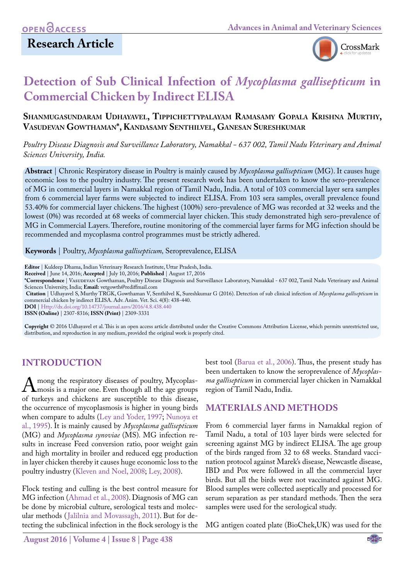

# **Detection of Sub Clinical Infection of** *Mycoplasma gallisepticum* **in Commercial Chicken by Indirect ELISA**

#### **Shanmugasundaram Udhayavel, Tippichettypalayam Ramasamy Gopala Krishna Murthy, Vasudevan Gowthaman\*, Kandasamy Senthilvel, Ganesan Sureshkumar**

*Poultry Disease Diagnosis and Surveillance Laboratory, Namakkal - 637 002, Tamil Nadu Veterinary and Animal Sciences University, India.*

**Abstract** | Chronic Respiratory disease in Poultry is mainly caused by *Mycoplasma gallisepticum* (MG). It causes huge economic loss to the poultry industry. The present research work has been undertaken to know the sero-prevalence of MG in commercial layers in Namakkal region of Tamil Nadu, India. A total of 103 commercial layer sera samples from 6 commercial layer farms were subjected to indirect ELISA. From 103 sera samples, overall prevalence found 53.40% for commercial layer chickens. The highest (100%) sero-prevalence of MG was recorded at 32 weeks and the lowest (0%) was recorded at 68 weeks of commercial layer chicken. This study demonstrated high sero-prevalence of MG in Commercial Layers. Therefore, routine monitoring of the commercial layer farms for MG infection should be recommended and mycoplasma control programmes must be strictly adhered.

**Keywords** | Poultry, *Mycoplasma gallisepticum,* Seroprevalence, ELISA

**Editor** | Kuldeep Dhama, Indian Veterinary Research Institute, Uttar Pradesh, India.

**Received** | June 14, 2016; **Accepted** | July 10, 2016; **Published** | August 17, 2016

**\*Correspondence** | Vasudevan Gowthaman, Poultry Disease Diagnosis and Surveillance Laboratory, Namakkal - 637 002, Tamil Nadu Veterinary and Animal Sciences University, India; **Email:** vetgowth@rediffmail.com

**Citation** | Udhayavel S, Murthy TRGK, Gowthaman V, Senthilvel K, Sureshkumar G (2016). Detection of sub clinical infection of *Mycoplasma gallisepticum* in commercial chicken by indirect ELISA. Adv. Anim. Vet. Sci. 4(8): 438-440.

**DOI** | <Http://dx.doi.org/10.14737/journal.aavs/2016/4.8.438.440>

**ISSN (Online)** | 2307-8316; **ISSN (Print)** | 2309-3331

**Copyright** © 2016 Udhayavel et al. This is an open access article distributed under the Creative Commons Attribution License, which permits unrestricted use, distribution, and reproduction in any medium, provided the original work is properly cited.

#### **INTRODUCTION**

A mong the respiratory diseases of poultry, Mycoplas-<br>mosis is a major one. Even though all the age groups<br>of turkeys and chickens are susceptible to this disease. of turkeys and chickens are susceptible to this disease, the occurrence of mycoplasmosis is higher in young birds when compare to adults [\(Ley and Yoder, 1997;](#page-1-0) [Nunoya et](#page-2-0) [al., 1995\)](#page-2-0). It is mainly caused by *Mycoplasma gallisepticum*  (MG) and *Mycoplasma synoviae* (MS)*.* MG infection results in increase Feed conversion ratio, poor weight gain and high mortality in broiler and reduced egg production in layer chicken thereby it causes huge economic loss to the poultry industry ([Kleven and Noel, 2008;](#page-1-1) [Ley, 2008\)](#page-1-2).

Flock testing and culling is the best control measure for MG infection ([Ahmad et al., 2008](#page-1-3)). Diagnosis of MG can be done by microbial culture, serological tests and molecular methods ([Jalilnia and Movassagh, 2011](#page-1-4)). But for detecting the subclinical infection in the flock serology is the

best tool [\(Barua et al., 2006\)](#page-1-5). Thus, the present study has been undertaken to know the seroprevalence of *Mycoplasma gallisepticum* in commercial layer chicken in Namakkal region of Tamil Nadu, India.

#### **MATERIALS AND METHODS**

From 6 commercial layer farms in Namakkal region of Tamil Nadu, a total of 103 layer birds were selected for screening against MG by indirect ELISA. The age group of the birds ranged from 32 to 68 weeks. Standard vaccination protocol against Marek's disease, Newcastle disease, IBD and Pox were followed in all the commercial layer birds. But all the birds were not vaccinated against MG. Blood samples were collected aseptically and processed for serum separation as per standard methods. Then the sera samples were used for the serological study.

MG antigen coated plate (BioChek,UK) was used for the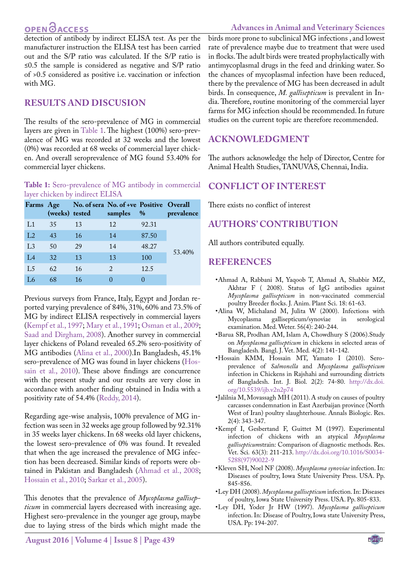# **OPEN**OACCESS

detection of antibody by indirect ELISA test. As per the manufacturer instruction the ELISA test has been carried out and the S/P ratio was calculated. If the S/P ratio is ≤0.5 the sample is considered as negative and S/P ratio of >0.5 considered as positive i.e. vaccination or infection with MG.

### **RESULTS AND DISCUSION**

The results of the sero-prevalence of MG in commercial layers are given in [Table 1.](#page-1-6) The highest (100%) sero-prevalence of MG was recorded at 32 weeks and the lowest (0%) was recorded at 68 weeks of commercial layer chicken. And overall seroprevalence of MG found 53.40% for commercial layer chickens.

#### <span id="page-1-6"></span>**Table 1:** Sero-prevalence of MG antibody in commercial layer chicken by indirect ELISA

|                |    | Farms Age No. of sera No. of +ve Positive Overall<br>(weeks) tested | samples | %     | prevalence |
|----------------|----|---------------------------------------------------------------------|---------|-------|------------|
| L1             | 35 | 13                                                                  | 12      | 92.31 | 53.40%     |
| L <sub>2</sub> | 43 | 16                                                                  | 14      | 87.50 |            |
| L <sub>3</sub> | 50 | 29                                                                  | 14      | 48.27 |            |
| IA             | 32 | 13                                                                  | 13      | 100   |            |
| L <sub>5</sub> | 62 | 16                                                                  | 2       | 12.5  |            |
|                | 68 | 16                                                                  |         |       |            |

Previous surveys from France, Italy, Egypt and Jordan reported varying prevalence of 84%, 31%, 60% and 73.5% of MG by indirect ELISA respectively in commercial layers ([Kempf et al., 1997](#page-1-7); [Mary et al., 1991](#page-2-1)[; Osman et al., 2009;](#page-2-2) [Saad and Dirgham, 2008](#page-2-3)). Another survey in commercial layer chickens of Poland revealed 65.2% sero-positivity of MG antibodies ([Alina et al., 2000\)](#page-1-8).In Bangladesh, 45.1% sero-prevalence of MG was found in layer chickens [\(Hos](#page-1-9)[sain et al., 2010\)](#page-1-9). These above findings are concurrence with the present study and our results are very close in accordance with another finding obtained in India with a positivity rate of 54.4% ([Reddy, 2014](#page-2-4)).

Regarding age-wise analysis, 100% prevalence of MG infection was seen in 32 weeks age group followed by 92.31% in 35 weeks layer chickens. In 68 weeks old layer chickens, the lowest sero-prevalence of 0% was found. It revealed that when the age increased the prevalence of MG infection has been decreased. Similar kinds of reports were obtained in Pakistan and Bangladesh [\(Ahmad et al., 2008;](#page-1-3) [Hossain et al., 2010](#page-1-9); [Sarkar et al., 2005](#page-2-5)).

This denotes that the prevalence of *Mycoplasma gallisepticum* in commercial layers decreased with increasing age. Highest sero-prevalence in the younger age group, maybe due to laying stress of the birds which might made the

**August 2016 | Volume 4 | Issue 8 | Page 439**

**Advances in Animal and Veterinary Sciences**

birds more prone to subclinical MG infections , and lowest rate of prevalence maybe due to treatment that were used in flocks. The adult birds were treated prophylactically with antimycoplasmal drugs in the feed and drinking water. So the chances of mycoplasmal infection have been reduced, there by the prevalence of MG has been decreased in adult birds. In consequence, *M. gallisepticum* is prevalent in India. Therefore, routine monitoring of the commercial layer farms for MG infection should be recommended. In future studies on the current topic are therefore recommended.

### **ACKNOWLEDGMENT**

The authors acknowledge the help of Director, Centre for Animal Health Studies, TANUVAS, Chennai, India.

#### **CONFLICT OF INTEREST**

There exists no conflict of interest

### **AUTHORS' CONTRIBUTION**

All authors contributed equally.

#### **REFERENCES**

- <span id="page-1-3"></span>•Ahmad A, Rabbani M, Yaqoob T, Ahmad A, Shabbir MZ, Akhtar F ( 2008). Status of IgG antibodies against *Mycoplasma gallisepticum* in non-vaccinated commercial poultry Breeder flocks. J. Anim. Plant Sci. 18: 61-63.
- <span id="page-1-8"></span>•Alina W, Michaland M, Julita W (2000). Infections with gallisepticum/synoviae examination. Med. Weter. 56(4): 240-244.
- <span id="page-1-5"></span>•Barua SR, Prodhan AM, Islam A, Chowdhury S (2006).Study on *Mycoplasma gallisepticum* in chickens in selected areas of Bangladesh*.* Bangl. J. Vet. Med*.* 4(2): 141-142.
- <span id="page-1-9"></span>•Hossain KMM, Hossain MT, Yamato I (2010). Seroprevalence of *Salmonella* and *Mycoplasma gallisepticum*  infection in Chickens in Rajshahi and surrounding districts of Bangladesh. Int. J. Biol. 2(2): 74-80. [http://dx.doi.](http://dx.doi.org/10.5539/ijb.v2n2p74) [org/10.5539/ijb.v2n2p74](http://dx.doi.org/10.5539/ijb.v2n2p74)
- <span id="page-1-4"></span>•Jalilnia M, Movassagh MH (2011). A study on causes of poultry carcasses condemnation in East Azerbaijan province (North West of Iran) poultry slaughterhouse*.* Annals Biologic. Res. 2(4): 343-347.
- <span id="page-1-7"></span>•Kempf I, Gesbertand F, Guittet M (1997). Experimental infection of chickens with an atypical *Mycoplasma gallisepticum*strain: Comparison of diagnostic methods. Res. Vet. Sci*.* 63(3): 211-213. [http://dx.doi.org/10.1016/S0034-](http://dx.doi.org/10.1016/S0034-5288(97)90022-9) [5288\(97\)90022-9](http://dx.doi.org/10.1016/S0034-5288(97)90022-9)
- <span id="page-1-1"></span>•Kleven SH, Noel NF (2008). *Mycoplasma synoviae* infection. In: Diseases of poultry, Iowa State University Press. USA. Pp. 845-856.
- <span id="page-1-2"></span>•Ley DH (2008). *Mycoplasma gallisepticum* infection. In: Diseases of poultry, Iowa State University Press. USA. Pp. 805-833.
- <span id="page-1-0"></span>•Ley DH, Yoder Jr HW (1997). *Mycoplasma gallisepticum*  infection. In: Disease of Poultry, Iowa state University Press, USA. Pp: 194-207.